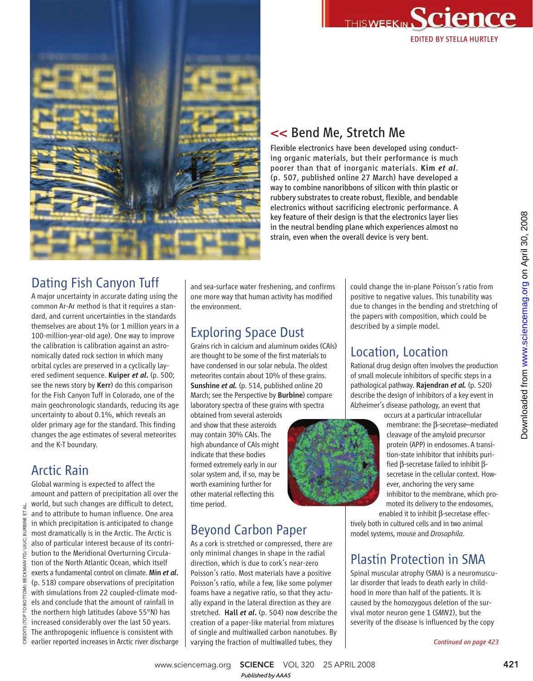



#### << Bend Me, Stretch Me

Flexible electronics have been developed using conducting organic materials, but their performance is much poorer than that of inorganic materials. Kim *et al*. (p. 507, published online 27 March) have developed a way to combine nanoribbons of silicon with thin plastic or rubbery substrates to create robust, flexible, and bendable electronics without sacrificing electronic performance. A key feature of their design is that the electronics layer lies in the neutral bending plane which experiences almost no strain, even when the overall device is very bent.

#### Dating Fish Canyon Tuff

A major uncertainty in accurate dating using the common Ar-Ar method is that it requires a standard, and current uncertainties in the standards themselves are about 1% (or 1 million years in a 100-million-year-old age). One way to improve the calibration is calibration against an astronomically dated rock section in which many orbital cycles are preserved in a cyclically layered sediment sequence. Kuiper *et al*. (p. 500; see the news story by Kerr) do this comparison for the Fish Canyon Tuff in Colorado, one of the main geochronologic standards, reducing its age uncertainty to about 0.1%, which reveals an older primary age for the standard. This finding changes the age estimates of several meteorites and the K-T boundary.

#### Arctic Rain

CREDITS (TOP TO BOTTOM): BECKMAN ITG/ UIUC; BURBINE ET AL.

TO BOTTOM):

CREDITS (TOP

₹ É BURBINE JIUC: řG) BECKMAN

Global warming is expected to affect the amount and pattern of precipitation all over the world, but such changes are difficult to detect, and to attribute to human influence. One area in which precipitation is anticipated to change most dramatically is in the Arctic. The Arctic is also of particular interest because of its contribution to the Meridional Overturning Circulation of the North Atlantic Ocean, which itself exerts a fundamental control on climate. Min *et al*. (p. 518) compare observations of precipitation with simulations from 22 coupled-climate models and conclude that the amount of rainfall in the northern high latitudes (above 55°N) has increased considerably over the last 50 years. The anthropogenic influence is consistent with earlier reported increases in Arctic river discharge

and sea-surface water freshening, and confirms one more way that human activity has modified the environment.

#### Exploring Space Dust

Grains rich in calcium and aluminum oxides (CAIs) are thought to be some of the first materials to have condensed in our solar nebula. The oldest meteorites contain about 10% of these grains. Sunshine *et al.* (p. 514, published online 20 March; see the Perspective by Burbine) compare laboratory spectra of these grains with spectra

obtained from several asteroids and show that these asteroids may contain 30% CAIs. The high abundance of CAIs might indicate that these bodies formed extremely early in our solar system and, if so, may be worth examining further for other material reflecting this time period.

#### Beyond Carbon Paper

As a cork is stretched or compressed, there are only minimal changes in shape in the radial direction, which is due to cork's near-zero Poisson's ratio. Most materials have a positive Poisson's ratio, while a few, like some polymer foams have a negative ratio, so that they actually expand in the lateral direction as they are stretched. Hall *et al*. (p. 504) now describe the creation of a paper-like material from mixtures of single and multiwalled carbon nanotubes. By varying the fraction of multiwalled tubes, they

could change the in-plane Poisson's ratio from positive to negative values. This tunability was due to changes in the bending and stretching of the papers with composition, which could be described by a simple model.

#### Location, Location

Rational drug design often involves the production of small molecule inhibitors of specific steps in a pathological pathway. Rajendran *et al.* (p. 520) describe the design of inhibitors of a key event in Alzheimer's disease pathology, an event that



occurs at a particular intracellular membrane: the β-secretase–mediated cleavage of the amyloid precursor protein (APP) in endosomes. A transition-state inhibitor that inhibits purified β-secretase failed to inhibit βsecretase in the cellular context. However, anchoring the very same inhibitor to the membrane, which promoted its delivery to the endosomes,

enabled it to inhibit β-secretase effectively both in cultured cells and in two animal model systems, mouse and *Drosophila*.

#### Plastin Protection in SMA

Spinal muscular atrophy (SMA) is a neuromuscular disorder that leads to death early in childhood in more than half of the patients. It is caused by the homozygous deletion of the survival motor neuron gene 1 (*SMN1*), but the severity of the disease is influenced by the copy

*Continued on page 423*

www.sciencemag.org **SCIENCE** VOL 320 25 APRIL 2008 421 *Published byAAAS*